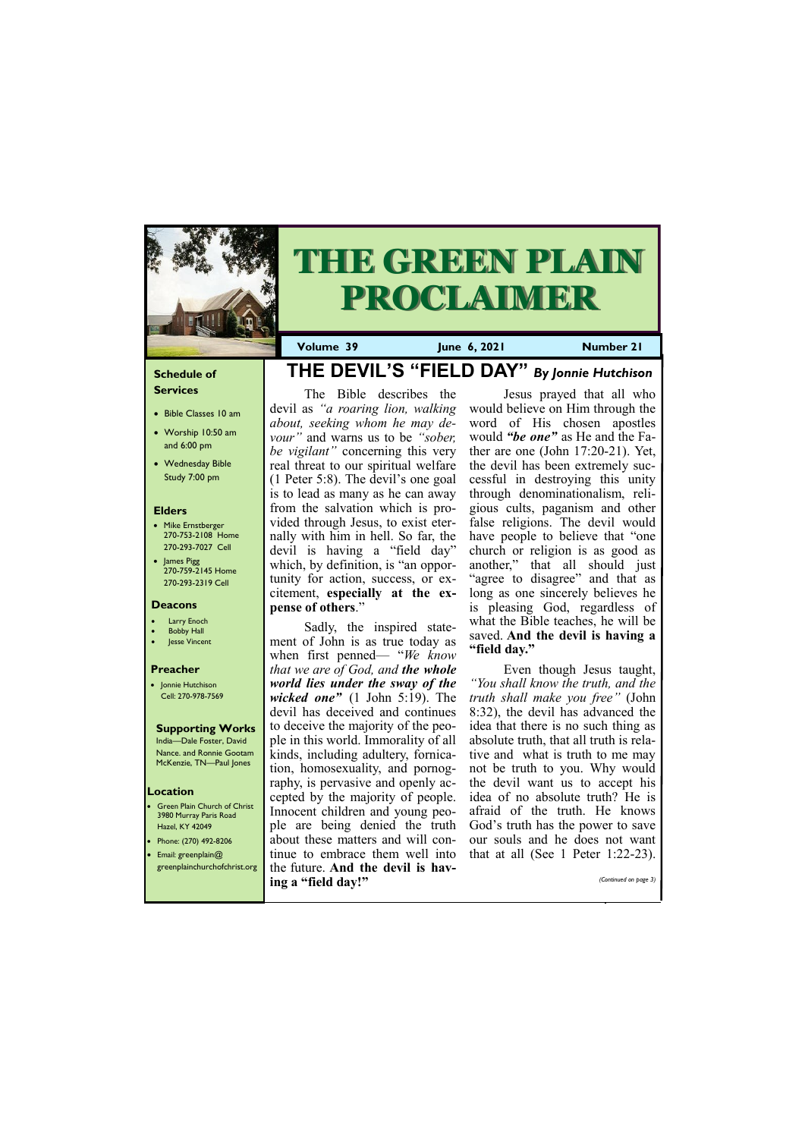## **Schedule of Services**

- Bible Classes 10 am
- Worship 10:50 am and 6:00 pm
- Wednesday Bible Study 7:00 pm

## **Elders**

- Mike Ernstberger 270-753-2108 Home 270-293-7027 Cell
- James Pigg 270-759-2145 Home 270-293-2319 Cell

**Green Plain Church of Christ** 3980 Murray Paris Road Hazel, KY 42049 • Phone: (270) 492-8206 • Email: greenplain@

## **Location**



# **THE GREEN PLAIN PROCLAIMER**

**Volume 39 June 6, 2021 Number 21**

## **Deacons**

- Larry Enoch
- **Bobby Hall**
- Jesse Vincent

## **Preacher**

• Jonnie Hutchison Cell: 270-978-7569

## **Supporting Works**

India—Dale Foster, David Nance. and Ronnie Gootam McKenzie, TN—Paul Jones

**THE DEVIL'S "FIELD DAY"** *By Jonnie Hutchison*

**pense of others**."

*that we are of God, and the whole world lies under the sway of the wicked one"* (1 John 5:19). The devil has deceived and continues to deceive the majority of the people in this world. Immorality of all kinds, including adultery, fornication, homosexuality, and pornography, is pervasive and openly accepted by the majority of people. Innocent children and young people are being denied the truth about these matters and will continue to embrace them well into

The Bible describes the devil as *"a roaring lion, walking about, seeking whom he may devour"* and warns us to be *"sober, be vigilant"* concerning this very real threat to our spiritual welfare (1 Peter 5:8). The devil's one goal is to lead as many as he can away from the salvation which is provided through Jesus, to exist eternally with him in hell. So far, the devil is having a "field day" which, by definition, is "an opportunity for action, success, or excitement, **especially at the ex-**Sadly, the inspired statement of John is as true today as when first penned— "*We know*  Jesus prayed that all who would believe on Him through the word of His chosen apostles would *"be one"* as He and the Father are one (John 17:20-21). Yet, the devil has been extremely successful in destroying this unity through denominationalism, religious cults, paganism and other false religions. The devil would have people to believe that "one church or religion is as good as another," that all should just "agree to disagree" and that as long as one sincerely believes he is pleasing God, regardless of what the Bible teaches, he will be saved. **And the devil is having a "field day."**

| greenplainchurchofchrist.org the future. And the devil is hav- |                       |
|----------------------------------------------------------------|-----------------------|
| ing a "field day!"                                             | (Continued on page 3) |
|                                                                |                       |

Even though Jesus taught, *"You shall know the truth, and the truth shall make you free"* (John 8:32), the devil has advanced the idea that there is no such thing as absolute truth, that all truth is relative and what is truth to me may not be truth to you. Why would the devil want us to accept his idea of no absolute truth? He is afraid of the truth. He knows God's truth has the power to save our souls and he does not want that at all (See 1 Peter 1:22-23).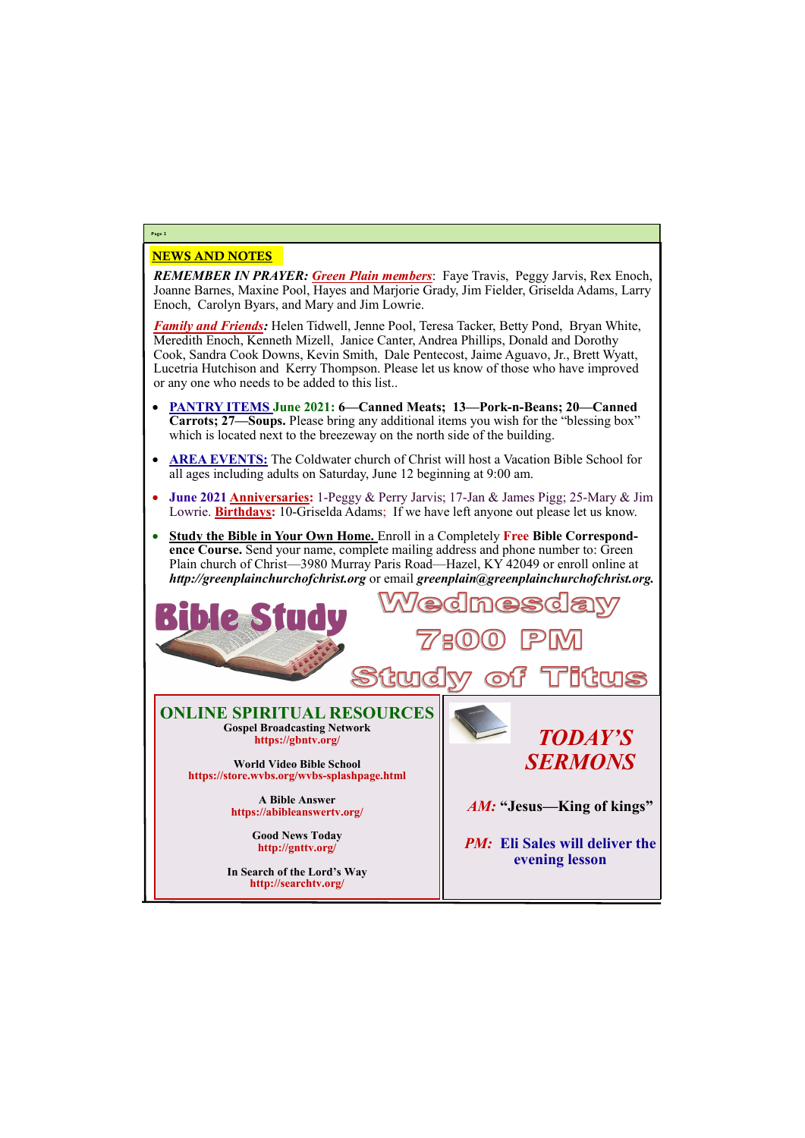## NEWS AND NOTES

*REMEMBER IN PRAYER: Green Plain members*: Faye Travis, Peggy Jarvis, Rex Enoch, Joanne Barnes, Maxine Pool, Hayes and Marjorie Grady, Jim Fielder, Griselda Adams, Larry Enoch, Carolyn Byars, and Mary and Jim Lowrie.

*Family and Friends:* Helen Tidwell, Jenne Pool, Teresa Tacker, Betty Pond, Bryan White, Meredith Enoch, Kenneth Mizell, Janice Canter, Andrea Phillips, Donald and Dorothy Cook, Sandra Cook Downs, Kevin Smith, Dale Pentecost, Jaime Aguavo, Jr., Brett Wyatt, Lucetria Hutchison and Kerry Thompson. Please let us know of those who have improved or any one who needs to be added to this list..

28 **IUIS ONLINE SPIRITUAL RESOURCES Gospel Broadcasting Network** *TODAY'S*  **https://gbntv.org/**  *SERMONS* **World Video Bible School https://store.wvbs.org/wvbs-splashpage.html A Bible Answer** *AM:* **"Jesus—King of kings" https://abibleanswertv.org/ Good News Today**

- **PANTRY ITEMS June 2021: 6—Canned Meats; 13—Pork-n-Beans; 20—Canned Carrots; 27—Soups.** Please bring any additional items you wish for the "blessing box" which is located next to the breezeway on the north side of the building.
- **AREA EVENTS:** The Coldwater church of Christ will host a Vacation Bible School for all ages including adults on Saturday, June 12 beginning at 9:00 am.
- **June 2021 Anniversaries:** 1-Peggy & Perry Jarvis; 17-Jan & James Pigg; 25-Mary & Jim Lowrie. **Birthdays:** 10-Griselda Adams; If we have left anyone out please let us know.
- **Study the Bible in Your Own Home.** Enroll in a Completely **Free Bible Correspondence Course.** Send your name, complete mailing address and phone number to: Green Plain church of Christ—3980 Murray Paris Road—Hazel, KY 42049 or enroll online at *http://greenplainchurchofchrist.org* or email *greenplain@greenplainchurchofchrist.org.*

# **Page 2**

**http://gnttv.org/**

**In Search of the Lord's Way http://searchtv.org/**

*PM:* **Eli Sales will deliver the** 

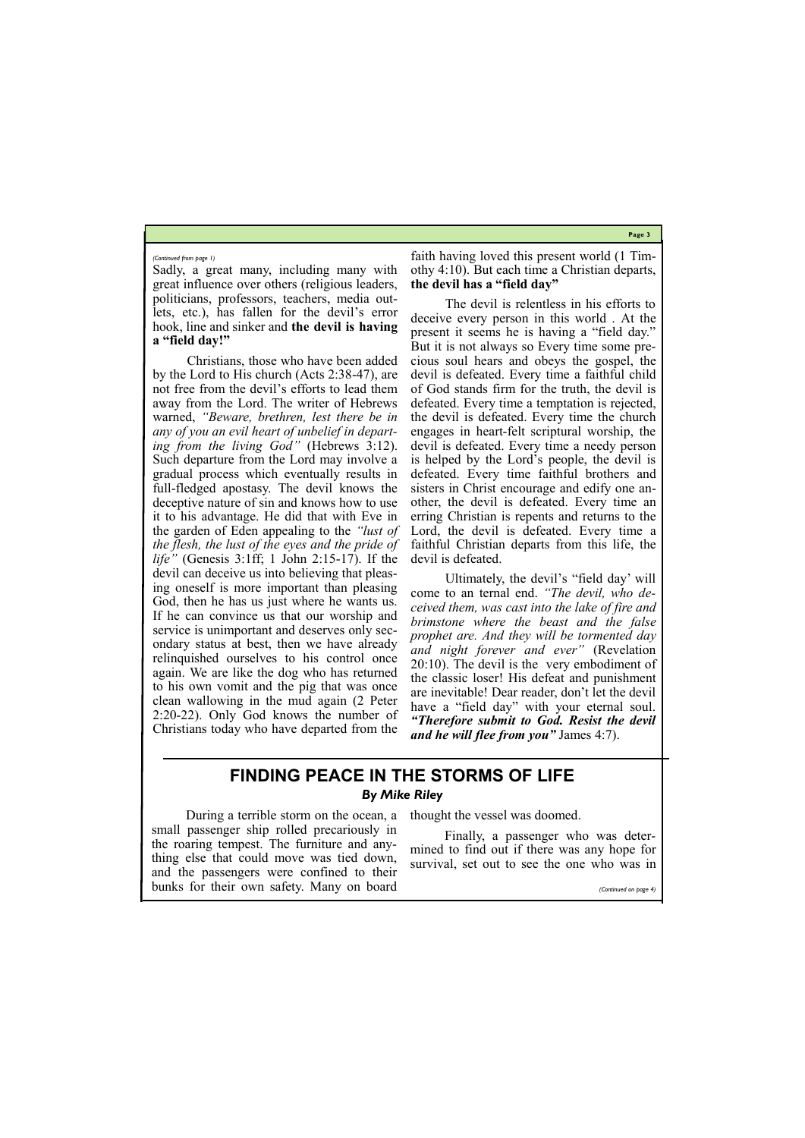**Page 3**

Sadly, a great many, including many with great influence over others (religious leaders, politicians, professors, teachers, media outlets, etc.), has fallen for the devil's error hook, line and sinker and **the devil is having a "field day!"**

Christians, those who have been added by the Lord to His church (Acts 2:38-47), are not free from the devil's efforts to lead them away from the Lord. The writer of Hebrews warned, *"Beware, brethren, lest there be in any of you an evil heart of unbelief in departing from the living God"* (Hebrews 3:12). Such departure from the Lord may involve a gradual process which eventually results in full-fledged apostasy. The devil knows the deceptive nature of sin and knows how to use it to his advantage. He did that with Eve in the garden of Eden appealing to the *"lust of the flesh, the lust of the eyes and the pride of life"* (Genesis 3:1ff; 1 John 2:15-17). If the devil can deceive us into believing that pleasing oneself is more important than pleasing God, then he has us just where he wants us. If he can convince us that our worship and service is unimportant and deserves only secondary status at best, then we have already relinquished ourselves to his control once again. We are like the dog who has returned to his own vomit and the pig that was once clean wallowing in the mud again (2 Peter 2:20-22). Only God knows the number of Christians today who have departed from the

faith having loved this present world (1 Timothy 4:10). But each time a Christian departs, **the devil has a "field day"**

The devil is relentless in his efforts to deceive every person in this world . At the present it seems he is having a "field day." But it is not always so Every time some precious soul hears and obeys the gospel, the devil is defeated. Every time a faithful child of God stands firm for the truth, the devil is defeated. Every time a temptation is rejected, the devil is defeated. Every time the church engages in heart-felt scriptural worship, the devil is defeated. Every time a needy person is helped by the Lord's people, the devil is defeated. Every time faithful brothers and sisters in Christ encourage and edify one another, the devil is defeated. Every time an erring Christian is repents and returns to the Lord, the devil is defeated. Every time a faithful Christian departs from this life, the devil is defeated.

Ultimately, the devil's "field day' will come to an ternal end. *"The devil, who deceived them, was cast into the lake of fire and brimstone where the beast and the false prophet are. And they will be tormented day and night forever and ever"* (Revelation 20:10). The devil is the very embodiment of the classic loser! His defeat and punishment are inevitable! Dear reader, don't let the devil have a "field day" with your eternal soul. *"Therefore submit to God. Resist the devil and he will flee from you"* James 4:7).

#### *(Continued from page 1)*

# **FINDING PEACE IN THE STORMS OF LIFE** *By Mike Riley*

During a terrible storm on the ocean, a small passenger ship rolled precariously in the roaring tempest. The furniture and anything else that could move was tied down,

thought the vessel was doomed.

| thing else that could move was trea down, survival, set out to see the one who was in<br>and the passengers were confined to their |                       |
|------------------------------------------------------------------------------------------------------------------------------------|-----------------------|
| bunks for their own safety. Many on board                                                                                          | (Continued on page 4) |

Finally, a passenger who was determined to find out if there was any hope for